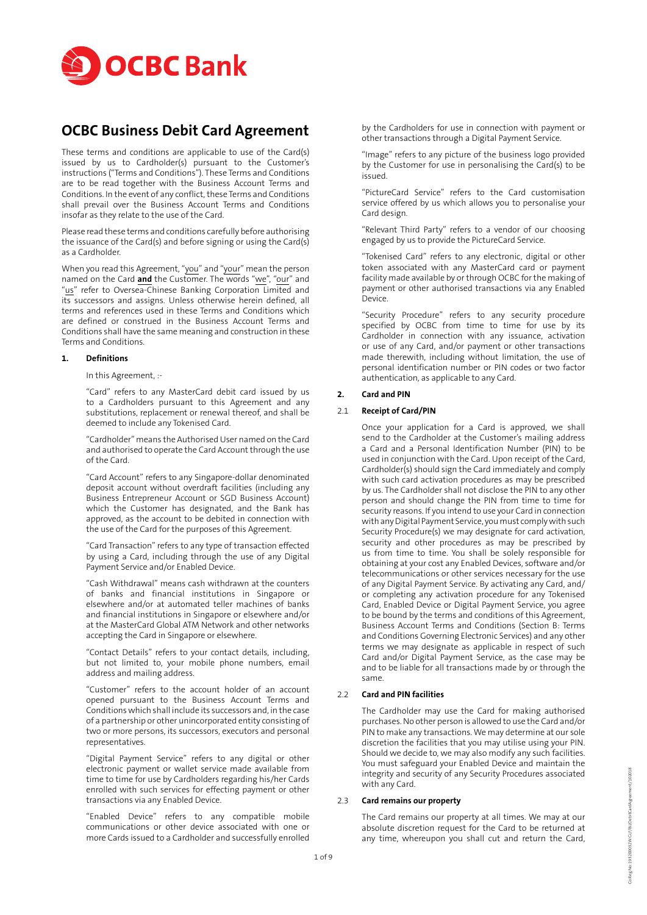

# **OCBC Business Debit Card Agreement**

These terms and conditions are applicable to use of the Card(s) issued by us to Cardholder(s) pursuant to the Customer's instructions ("Terms and Conditions"). These Terms and Conditions are to be read together with the Business Account Terms and Conditions. In the event of any conflict, these Terms and Conditions shall prevail over the Business Account Terms and Conditions insofar as they relate to the use of the Card.

Please read these terms and conditions carefully before authorising the issuance of the Card(s) and before signing or using the Card(s) as a Cardholder.

When you read this Agreement, "you" and "your" mean the person named on the Card and the Customer. The words "we", "our" and "us" refer to Oversea-Chinese Banking Corporation Limited and its successors and assigns. Unless otherwise herein defined, all terms and references used in these Terms and Conditions which are defined or construed in the Business Account Terms and Conditions shall have the same meaning and construction in these Terms and Conditions.

#### **1. Definitions**

In this Agreement, :-

"Card" refers to any MasterCard debit card issued by us to a Cardholders pursuant to this Agreement and any substitutions, replacement or renewal thereof, and shall be deemed to include any Tokenised Card.

"Cardholder" means the Authorised User named on the Card and authorised to operate the Card Account through the use of the Card.

"Card Account" refers to any Singapore-dollar denominated deposit account without overdraft facilities (including any Business Entrepreneur Account or SGD Business Account) which the Customer has designated, and the Bank has approved, as the account to be debited in connection with the use of the Card for the purposes of this Agreement.

"Card Transaction" refers to any type of transaction effected by using a Card, including through the use of any Digital Payment Service and/or Enabled Device.

"Cash Withdrawal" means cash withdrawn at the counters of banks and financial institutions in Singapore or elsewhere and/or at automated teller machines of banks and financial institutions in Singapore or elsewhere and/or at the MasterCard Global ATM Network and other networks accepting the Card in Singapore or elsewhere.

"Contact Details" refers to your contact details, including, but not limited to, your mobile phone numbers, email address and mailing address.

"Customer" refers to the account holder of an account opened pursuant to the Business Account Terms and Conditions which shall include its successors and, in the case of a partnership or other unincorporated entity consisting of two or more persons, its successors, executors and personal representatives.

"Digital Payment Service" refers to any digital or other electronic payment or wallet service made available from time to time for use by Cardholders regarding his/her Cards enrolled with such services for effecting payment or other transactions via any Enabled Device.

"Enabled Device" refers to any compatible mobile communications or other device associated with one or more Cards issued to a Cardholder and successfully enrolled

by the Cardholders for use in connection with payment or other transactions through a Digital Payment Service.

"Image" refers to any picture of the business logo provided by the Customer for use in personalising the Card(s) to be issued.

"PictureCard Service" refers to the Card customisation service offered by us which allows you to personalise your Card design.

"Relevant Third Party" refers to a vendor of our choosing engaged by us to provide the PictureCard Service.

"Tokenised Card" refers to any electronic, digital or other token associated with any MasterCard card or payment facility made available by or through OCBC for the making of payment or other authorised transactions via any Enabled Device.

"Security Procedure" refers to any security procedure specified by OCBC from time to time for use by its Cardholder in connection with any issuance, activation or use of any Card, and/or payment or other transactions made therewith, including without limitation, the use of personal identification number or PIN codes or two factor authentication, as applicable to any Card.

## **2. Card and PIN**

## 2.1 **Receipt of Card/PIN**

Once your application for a Card is approved, we shall send to the Cardholder at the Customer's mailing address a Card and a Personal Identification Number (PIN) to be used in conjunction with the Card. Upon receipt of the Card, Cardholder(s) should sign the Card immediately and comply with such card activation procedures as may be prescribed by us. The Cardholder shall not disclose the PIN to any other person and should change the PIN from time to time for security reasons. If you intend to use your Card in connection with any Digital Payment Service, you must comply with such Security Procedure(s) we may designate for card activation, security and other procedures as may be prescribed by us from time to time. You shall be solely responsible for obtaining at your cost any Enabled Devices, software and/or telecommunications or other services necessary for the use of any Digital Payment Service. By activating any Card, and/ or completing any activation procedure for any Tokenised Card, Enabled Device or Digital Payment Service, you agree to be bound by the terms and conditions of this Agreement, Business Account Terms and Conditions (Section B: Terms and Conditions Governing Electronic Services) and any other terms we may designate as applicable in respect of such Card and/or Digital Payment Service, as the case may be and to be liable for all transactions made by or through the same.

## 2.2 **Card and PIN facilities**

The Cardholder may use the Card for making authorised purchases. No other person is allowed to use the Card and/or PIN to make any transactions. We may determine at our sole discretion the facilities that you may utilise using your PIN. Should we decide to, we may also modify any such facilities. You must safeguard your Enabled Device and maintain the integrity and security of any Security Procedures associated with any Card.

## 2.3 **Card remains our property**

The Card remains our property at all times. We may at our absolute discretion request for the Card to be returned at any time, whereupon you shall cut and return the Card,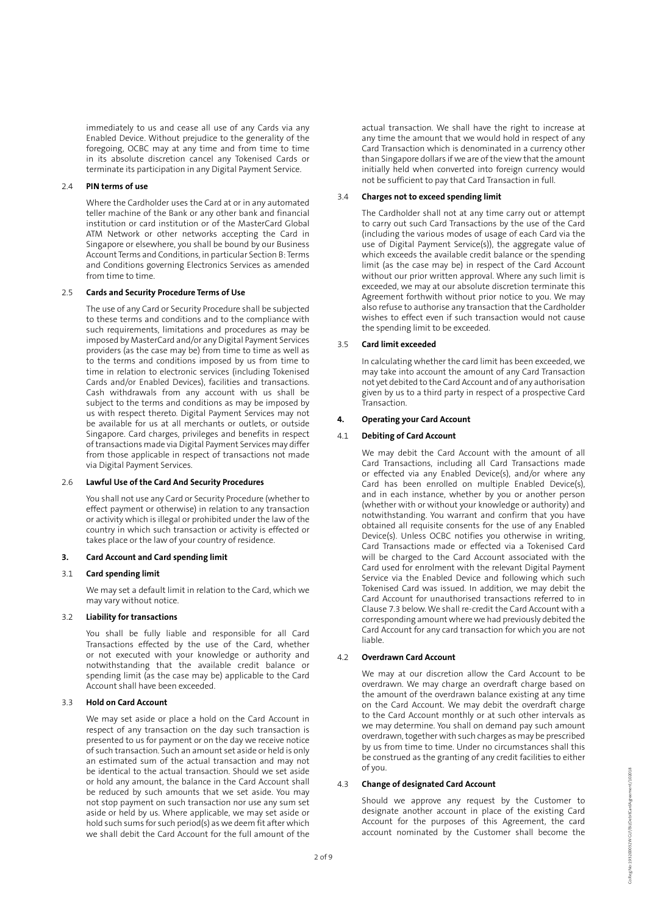immediately to us and cease all use of any Cards via any Enabled Device. Without prejudice to the generality of the foregoing, OCBC may at any time and from time to time in its absolute discretion cancel any Tokenised Cards or terminate its participation in any Digital Payment Service.

# 2.4 **PIN terms of use**

Where the Cardholder uses the Card at or in any automated teller machine of the Bank or any other bank and financial institution or card institution or of the MasterCard Global ATM Network or other networks accepting the Card in Singapore or elsewhere, you shall be bound by our Business Account Terms and Conditions, in particular Section B: Terms and Conditions governing Electronics Services as amended from time to time.

#### 2.5 **Cards and Security Procedure Terms of Use**

The use of any Card or Security Procedure shall be subjected to these terms and conditions and to the compliance with such requirements, limitations and procedures as may be imposed by MasterCard and/or any Digital Payment Services providers (as the case may be) from time to time as well as to the terms and conditions imposed by us from time to time in relation to electronic services (including Tokenised Cards and/or Enabled Devices), facilities and transactions. Cash withdrawals from any account with us shall be subject to the terms and conditions as may be imposed by us with respect thereto. Digital Payment Services may not be available for us at all merchants or outlets, or outside Singapore. Card charges, privileges and benefits in respect of transactions made via Digital Payment Services may differ from those applicable in respect of transactions not made via Digital Payment Services.

#### 2.6 **Lawful Use of the Card And Security Procedures**

You shall not use any Card or Security Procedure (whether to effect payment or otherwise) in relation to any transaction or activity which is illegal or prohibited under the law of the country in which such transaction or activity is effected or takes place or the law of your country of residence.

## **3. Card Account and Card spending limit**

#### 3.1 **Card spending limit**

We may set a default limit in relation to the Card, which we may vary without notice.

#### 3.2 **Liability for transactions**

You shall be fully liable and responsible for all Card Transactions effected by the use of the Card, whether or not executed with your knowledge or authority and notwithstanding that the available credit balance or spending limit (as the case may be) applicable to the Card Account shall have been exceeded.

#### 3.3 **Hold on Card Account**

We may set aside or place a hold on the Card Account in respect of any transaction on the day such transaction is presented to us for payment or on the day we receive notice of such transaction. Such an amount set aside or held is only an estimated sum of the actual transaction and may not be identical to the actual transaction. Should we set aside or hold any amount, the balance in the Card Account shall be reduced by such amounts that we set aside. You may not stop payment on such transaction nor use any sum set aside or held by us. Where applicable, we may set aside or hold such sums for such period(s) as we deem fit after which we shall debit the Card Account for the full amount of the

actual transaction. We shall have the right to increase at any time the amount that we would hold in respect of any Card Transaction which is denominated in a currency other than Singapore dollars if we are of the view that the amount initially held when converted into foreign currency would not be sufficient to pay that Card Transaction in full.

#### 3.4 **Charges not to exceed spending limit**

The Cardholder shall not at any time carry out or attempt to carry out such Card Transactions by the use of the Card (including the various modes of usage of each Card via the use of Digital Payment Service(s)), the aggregate value of which exceeds the available credit balance or the spending limit (as the case may be) in respect of the Card Account without our prior written approval. Where any such limit is exceeded, we may at our absolute discretion terminate this Agreement forthwith without prior notice to you. We may also refuse to authorise any transaction that the Cardholder wishes to effect even if such transaction would not cause the spending limit to be exceeded.

#### 3.5 **Card limit exceeded**

In calculating whether the card limit has been exceeded, we may take into account the amount of any Card Transaction not yet debited to the Card Account and of any authorisation given by us to a third party in respect of a prospective Card Transaction.

# **4. Operating your Card Account**

# 4.1 **Debiting of Card Account**

We may debit the Card Account with the amount of all Card Transactions, including all Card Transactions made or effected via any Enabled Device(s), and/or where any Card has been enrolled on multiple Enabled Device(s), and in each instance, whether by you or another person (whether with or without your knowledge or authority) and notwithstanding. You warrant and confirm that you have obtained all requisite consents for the use of any Enabled Device(s). Unless OCBC notifies you otherwise in writing, Card Transactions made or effected via a Tokenised Card will be charged to the Card Account associated with the Card used for enrolment with the relevant Digital Payment Service via the Enabled Device and following which such Tokenised Card was issued. In addition, we may debit the Card Account for unauthorised transactions referred to in Clause 7.3 below. We shall re-credit the Card Account with a corresponding amount where we had previously debited the Card Account for any card transaction for which you are not liable.

## 4.2 **Overdrawn Card Account**

We may at our discretion allow the Card Account to be overdrawn. We may charge an overdraft charge based on the amount of the overdrawn balance existing at any time on the Card Account. We may debit the overdraft charge to the Card Account monthly or at such other intervals as we may determine. You shall on demand pay such amount overdrawn, together with such charges as may be prescribed by us from time to time. Under no circumstances shall this be construed as the granting of any credit facilities to either of you.

## 4.3 **Change of designated Card Account**

Should we approve any request by the Customer to designate another account in place of the existing Card Account for the purposes of this Agreement, the card account nominated by the Customer shall become the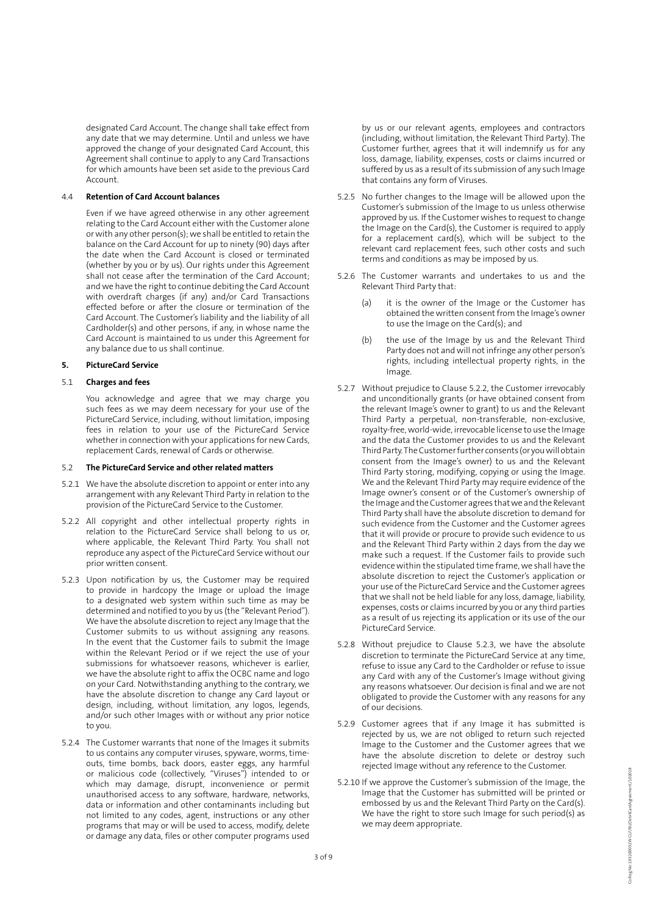designated Card Account. The change shall take effect from any date that we may determine. Until and unless we have approved the change of your designated Card Account, this Agreement shall continue to apply to any Card Transactions for which amounts have been set aside to the previous Card Account.

## 4.4 **Retention of Card Account balances**

Even if we have agreed otherwise in any other agreement relating to the Card Account either with the Customer alone or with any other person(s); we shall be entitled to retain the balance on the Card Account for up to ninety (90) days after the date when the Card Account is closed or terminated (whether by you or by us). Our rights under this Agreement shall not cease after the termination of the Card Account; and we have the right to continue debiting the Card Account with overdraft charges (if any) and/or Card Transactions effected before or after the closure or termination of the Card Account. The Customer's liability and the liability of all Cardholder(s) and other persons, if any, in whose name the Card Account is maintained to us under this Agreement for any balance due to us shall continue.

## **5. PictureCard Service**

#### 5.1 **Charges and fees**

You acknowledge and agree that we may charge you such fees as we may deem necessary for your use of the PictureCard Service, including, without limitation, imposing fees in relation to your use of the PictureCard Service whether in connection with your applications for new Cards, replacement Cards, renewal of Cards or otherwise.

#### 5.2 **The PictureCard Service and other related matters**

- 5.2.1 We have the absolute discretion to appoint or enter into any arrangement with any Relevant Third Party in relation to the provision of the PictureCard Service to the Customer.
- 5.2.2 All copyright and other intellectual property rights in relation to the PictureCard Service shall belong to us or, where applicable, the Relevant Third Party. You shall not reproduce any aspect of the PictureCard Service without our prior written consent.
- 5.2.3 Upon notification by us, the Customer may be required to provide in hardcopy the Image or upload the Image to a designated web system within such time as may be determined and notified to you by us (the "Relevant Period"). We have the absolute discretion to reject any Image that the Customer submits to us without assigning any reasons. In the event that the Customer fails to submit the Image within the Relevant Period or if we reject the use of your submissions for whatsoever reasons, whichever is earlier, we have the absolute right to affix the OCBC name and logo on your Card. Notwithstanding anything to the contrary, we have the absolute discretion to change any Card layout or design, including, without limitation, any logos, legends, and/or such other Images with or without any prior notice to you.
- 5.2.4 The Customer warrants that none of the Images it submits to us contains any computer viruses, spyware, worms, timeouts, time bombs, back doors, easter eggs, any harmful or malicious code (collectively, "Viruses") intended to or which may damage, disrupt, inconvenience or permit unauthorised access to any software, hardware, networks, data or information and other contaminants including but not limited to any codes, agent, instructions or any other programs that may or will be used to access, modify, delete or damage any data, files or other computer programs used

by us or our relevant agents, employees and contractors (including, without limitation, the Relevant Third Party). The Customer further, agrees that it will indemnify us for any loss, damage, liability, expenses, costs or claims incurred or suffered by us as a result of its submission of any such Image that contains any form of Viruses.

- 5.2.5 No further changes to the Image will be allowed upon the Customer's submission of the Image to us unless otherwise approved by us. If the Customer wishes to request to change the Image on the Card(s), the Customer is required to apply for a replacement card(s), which will be subject to the relevant card replacement fees, such other costs and such terms and conditions as may be imposed by us.
- 5.2.6 The Customer warrants and undertakes to us and the Relevant Third Party that:
	- (a) it is the owner of the Image or the Customer has obtained the written consent from the Image's owner to use the Image on the Card(s); and
	- (b) the use of the Image by us and the Relevant Third Party does not and will not infringe any other person's rights, including intellectual property rights, in the Image.
- 5.2.7 Without prejudice to Clause 5.2.2, the Customer irrevocably and unconditionally grants (or have obtained consent from the relevant Image's owner to grant) to us and the Relevant Third Party a perpetual, non-transferable, non-exclusive, royalty-free, world-wide, irrevocable license to use the Image and the data the Customer provides to us and the Relevant Third Party. The Customer further consents (or you will obtain consent from the Image's owner) to us and the Relevant Third Party storing, modifying, copying or using the Image. We and the Relevant Third Party may require evidence of the Image owner's consent or of the Customer's ownership of the Image and the Customer agrees that we and the Relevant Third Party shall have the absolute discretion to demand for such evidence from the Customer and the Customer agrees that it will provide or procure to provide such evidence to us and the Relevant Third Party within 2 days from the day we make such a request. If the Customer fails to provide such evidence within the stipulated time frame, we shall have the absolute discretion to reject the Customer's application or your use of the PictureCard Service and the Customer agrees that we shall not be held liable for any loss, damage, liability, expenses, costs or claims incurred by you or any third parties as a result of us rejecting its application or its use of the our PictureCard Service.
- 5.2.8 Without prejudice to Clause 5.2.3, we have the absolute discretion to terminate the PictureCard Service at any time, refuse to issue any Card to the Cardholder or refuse to issue any Card with any of the Customer's Image without giving any reasons whatsoever. Our decision is final and we are not obligated to provide the Customer with any reasons for any of our decisions.
- 5.2.9 Customer agrees that if any Image it has submitted is rejected by us, we are not obliged to return such rejected Image to the Customer and the Customer agrees that we have the absolute discretion to delete or destroy such rejected Image without any reference to the Customer.
- 5.2.10 If we approve the Customer's submission of the Image, the Image that the Customer has submitted will be printed or embossed by us and the Relevant Third Party on the Card(s). We have the right to store such Image for such period(s) as we may deem appropriate.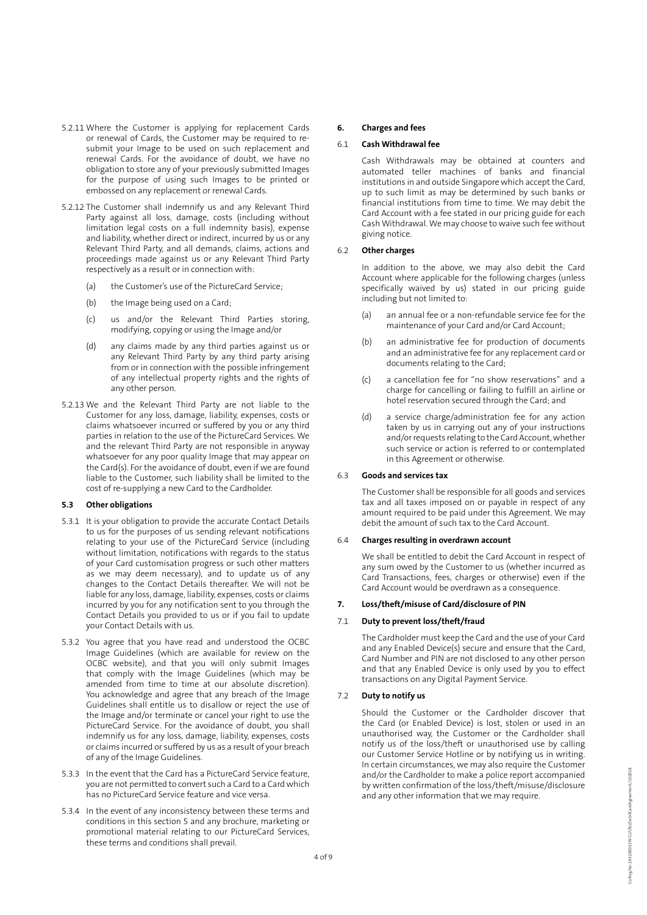- 5.2.11 Where the Customer is applying for replacement Cards or renewal of Cards, the Customer may be required to resubmit your Image to be used on such replacement and renewal Cards. For the avoidance of doubt, we have no obligation to store any of your previously submitted Images for the purpose of using such Images to be printed or embossed on any replacement or renewal Cards.
- 5.2.12 The Customer shall indemnify us and any Relevant Third Party against all loss, damage, costs (including without limitation legal costs on a full indemnity basis), expense and liability, whether direct or indirect, incurred by us or any Relevant Third Party, and all demands, claims, actions and proceedings made against us or any Relevant Third Party respectively as a result or in connection with:
	- (a) the Customer's use of the PictureCard Service;
	- (b) the Image being used on a Card;
	- (c) us and/or the Relevant Third Parties storing, modifying, copying or using the Image and/or
	- (d) any claims made by any third parties against us or any Relevant Third Party by any third party arising from or in connection with the possible infringement of any intellectual property rights and the rights of any other person.
- 5.2.13 We and the Relevant Third Party are not liable to the Customer for any loss, damage, liability, expenses, costs or claims whatsoever incurred or suffered by you or any third parties in relation to the use of the PictureCard Services. We and the relevant Third Party are not responsible in anyway whatsoever for any poor quality Image that may appear on the Card(s). For the avoidance of doubt, even if we are found liable to the Customer, such liability shall be limited to the cost of re-supplying a new Card to the Cardholder.

# **5.3 Other obligations**

- 5.3.1 It is your obligation to provide the accurate Contact Details to us for the purposes of us sending relevant notifications relating to your use of the PictureCard Service (including without limitation, notifications with regards to the status of your Card customisation progress or such other matters as we may deem necessary), and to update us of any changes to the Contact Details thereafter. We will not be liable for any loss, damage, liability, expenses, costs or claims incurred by you for any notification sent to you through the Contact Details you provided to us or if you fail to update your Contact Details with us.
- 5.3.2 You agree that you have read and understood the OCBC Image Guidelines (which are available for review on the OCBC website), and that you will only submit Images that comply with the Image Guidelines (which may be amended from time to time at our absolute discretion). You acknowledge and agree that any breach of the Image Guidelines shall entitle us to disallow or reject the use of the Image and/or terminate or cancel your right to use the PictureCard Service. For the avoidance of doubt, you shall indemnify us for any loss, damage, liability, expenses, costs or claims incurred or suffered by us as a result of your breach of any of the Image Guidelines.
- 5.3.3 In the event that the Card has a PictureCard Service feature, you are not permitted to convert such a Card to a Card which has no PictureCard Service feature and vice versa.
- 5.3.4 In the event of any inconsistency between these terms and conditions in this section 5 and any brochure, marketing or promotional material relating to our PictureCard Services, these terms and conditions shall prevail.

## **6. Charges and fees**

## 6.1 **Cash Withdrawal fee**

Cash Withdrawals may be obtained at counters and automated teller machines of banks and financial institutions in and outside Singapore which accept the Card, up to such limit as may be determined by such banks or financial institutions from time to time. We may debit the Card Account with a fee stated in our pricing guide for each Cash Withdrawal. We may choose to waive such fee without giving notice.

#### 6.2 **Other charges**

In addition to the above, we may also debit the Card Account where applicable for the following charges (unless specifically waived by us) stated in our pricing guide including but not limited to:

- (a) an annual fee or a non-refundable service fee for the maintenance of your Card and/or Card Account;
- (b) an administrative fee for production of documents and an administrative fee for any replacement card or documents relating to the Card;
- (c) a cancellation fee for "no show reservations" and a charge for cancelling or failing to fulfill an airline or hotel reservation secured through the Card; and
- (d) a service charge/administration fee for any action taken by us in carrying out any of your instructions and/or requests relating to the Card Account, whether such service or action is referred to or contemplated in this Agreement or otherwise.

#### 6.3 **Goods and services tax**

The Customer shall be responsible for all goods and services tax and all taxes imposed on or payable in respect of any amount required to be paid under this Agreement. We may debit the amount of such tax to the Card Account.

## 6.4 **Charges resulting in overdrawn account**

We shall be entitled to debit the Card Account in respect of any sum owed by the Customer to us (whether incurred as Card Transactions, fees, charges or otherwise) even if the Card Account would be overdrawn as a consequence.

#### **7. Loss/theft/misuse of Card/disclosure of PIN**

## 7.1 **Duty to prevent loss/theft/fraud**

The Cardholder must keep the Card and the use of your Card and any Enabled Device(s) secure and ensure that the Card, Card Number and PIN are not disclosed to any other person and that any Enabled Device is only used by you to effect transactions on any Digital Payment Service.

# 7.2 **Duty to notify us**

Should the Customer or the Cardholder discover that the Card (or Enabled Device) is lost, stolen or used in an unauthorised way, the Customer or the Cardholder shall notify us of the loss/theft or unauthorised use by calling our Customer Service Hotline or by notifying us in writing. In certain circumstances, we may also require the Customer and/or the Cardholder to make a police report accompanied by written confirmation of the loss/theft/misuse/disclosure and any other information that we may require.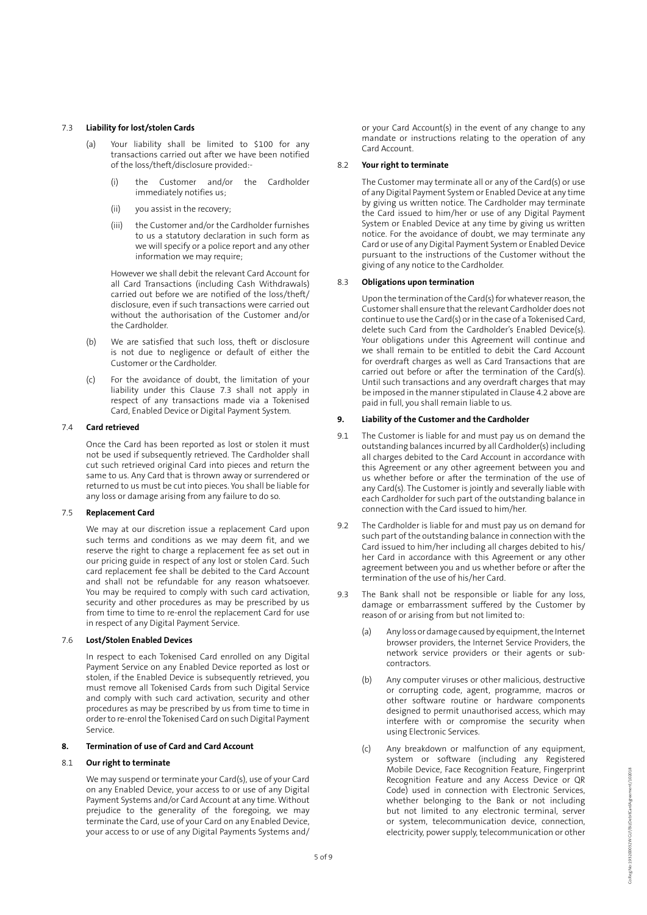## 7.3 **Liability for lost/stolen Cards**

- (a) Your liability shall be limited to \$100 for any transactions carried out after we have been notified of the loss/theft/disclosure provided:-
	- (i) the Customer and/or the Cardholder immediately notifies us;
	- (ii) you assist in the recovery;
	- (iii) the Customer and/or the Cardholder furnishes to us a statutory declaration in such form as we will specify or a police report and any other information we may require;

However we shall debit the relevant Card Account for all Card Transactions (including Cash Withdrawals) carried out before we are notified of the loss/theft/ disclosure, even if such transactions were carried out without the authorisation of the Customer and/or the Cardholder.

- (b) We are satisfied that such loss, theft or disclosure is not due to negligence or default of either the Customer or the Cardholder.
- (c) For the avoidance of doubt, the limitation of your liability under this Clause 7.3 shall not apply in respect of any transactions made via a Tokenised Card, Enabled Device or Digital Payment System.

## 7.4 **Card retrieved**

Once the Card has been reported as lost or stolen it must not be used if subsequently retrieved. The Cardholder shall cut such retrieved original Card into pieces and return the same to us. Any Card that is thrown away or surrendered or returned to us must be cut into pieces. You shall be liable for any loss or damage arising from any failure to do so.

# 7.5 **Replacement Card**

We may at our discretion issue a replacement Card upon such terms and conditions as we may deem fit, and we reserve the right to charge a replacement fee as set out in our pricing guide in respect of any lost or stolen Card. Such card replacement fee shall be debited to the Card Account and shall not be refundable for any reason whatsoever. You may be required to comply with such card activation, security and other procedures as may be prescribed by us from time to time to re-enrol the replacement Card for use in respect of any Digital Payment Service.

#### 7.6 **Lost/Stolen Enabled Devices**

In respect to each Tokenised Card enrolled on any Digital Payment Service on any Enabled Device reported as lost or stolen, if the Enabled Device is subsequently retrieved, you must remove all Tokenised Cards from such Digital Service and comply with such card activation, security and other procedures as may be prescribed by us from time to time in order to re-enrol the Tokenised Card on such Digital Payment Service.

# **8. Termination of use of Card and Card Account**

# 8.1 **Our right to terminate**

We may suspend or terminate your Card(s), use of your Card on any Enabled Device, your access to or use of any Digital Payment Systems and/or Card Account at any time. Without prejudice to the generality of the foregoing, we may terminate the Card, use of your Card on any Enabled Device, your access to or use of any Digital Payments Systems and/

or your Card Account(s) in the event of any change to any mandate or instructions relating to the operation of any Card Account.

## 8.2 **Your right to terminate**

The Customer may terminate all or any of the Card(s) or use of any Digital Payment System or Enabled Device at any time by giving us written notice. The Cardholder may terminate the Card issued to him/her or use of any Digital Payment System or Enabled Device at any time by giving us written notice. For the avoidance of doubt, we may terminate any Card or use of any Digital Payment System or Enabled Device pursuant to the instructions of the Customer without the giving of any notice to the Cardholder.

## 8.3 **Obligations upon termination**

Upon the termination of the Card(s) for whatever reason, the Customer shall ensure that the relevant Cardholder does not continue to use the Card(s) or in the case of a Tokenised Card, delete such Card from the Cardholder's Enabled Device(s). Your obligations under this Agreement will continue and we shall remain to be entitled to debit the Card Account for overdraft charges as well as Card Transactions that are carried out before or after the termination of the Card(s). Until such transactions and any overdraft charges that may be imposed in the manner stipulated in Clause 4.2 above are paid in full, you shall remain liable to us.

## **9. Liability of the Customer and the Cardholder**

- 9.1 The Customer is liable for and must pay us on demand the outstanding balances incurred by all Cardholder(s) including all charges debited to the Card Account in accordance with this Agreement or any other agreement between you and us whether before or after the termination of the use of any Card(s). The Customer is jointly and severally liable with each Cardholder for such part of the outstanding balance in connection with the Card issued to him/her.
- 9.2 The Cardholder is liable for and must pay us on demand for such part of the outstanding balance in connection with the Card issued to him/her including all charges debited to his/ her Card in accordance with this Agreement or any other agreement between you and us whether before or after the termination of the use of his/her Card.
- 9.3 The Bank shall not be responsible or liable for any loss, damage or embarrassment suffered by the Customer by reason of or arising from but not limited to:
	- (a) Any loss or damage caused by equipment, the Internet browser providers, the Internet Service Providers, the network service providers or their agents or subcontractors.
	- (b) Any computer viruses or other malicious, destructive or corrupting code, agent, programme, macros or other software routine or hardware components designed to permit unauthorised access, which may interfere with or compromise the security when using Electronic Services.
	- (c) Any breakdown or malfunction of any equipment, system or software (including any Registered Mobile Device, Face Recognition Feature, Fingerprint Recognition Feature and any Access Device or QR Code) used in connection with Electronic Services, whether belonging to the Bank or not including but not limited to any electronic terminal, server or system, telecommunication device, connection, electricity, power supply, telecommunication or other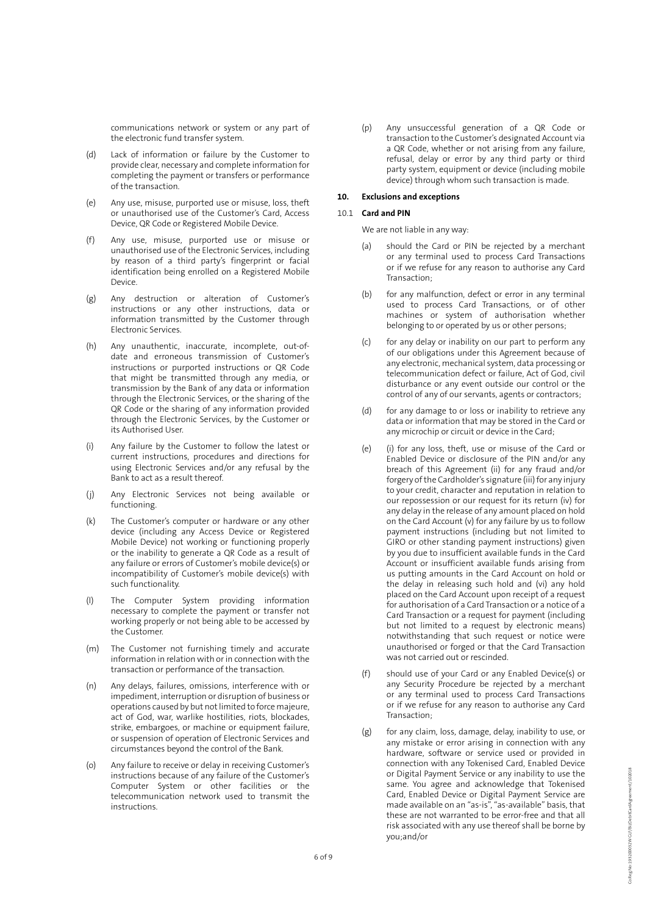communications network or system or any part of the electronic fund transfer system.

- (d) Lack of information or failure by the Customer to provide clear, necessary and complete information for completing the payment or transfers or performance of the transaction.
- (e) Any use, misuse, purported use or misuse, loss, theft or unauthorised use of the Customer's Card, Access Device, QR Code or Registered Mobile Device.
- (f) Any use, misuse, purported use or misuse or unauthorised use of the Electronic Services, including by reason of a third party's fingerprint or facial identification being enrolled on a Registered Mobile Device.
- (g) Any destruction or alteration of Customer's instructions or any other instructions, data or information transmitted by the Customer through Electronic Services.
- (h) Any unauthentic, inaccurate, incomplete, out-ofdate and erroneous transmission of Customer's instructions or purported instructions or QR Code that might be transmitted through any media, or transmission by the Bank of any data or information through the Electronic Services, or the sharing of the QR Code or the sharing of any information provided through the Electronic Services, by the Customer or its Authorised User.
- (i) Any failure by the Customer to follow the latest or current instructions, procedures and directions for using Electronic Services and/or any refusal by the Bank to act as a result thereof.
- (j) Any Electronic Services not being available or functioning.
- (k) The Customer's computer or hardware or any other device (including any Access Device or Registered Mobile Device) not working or functioning properly or the inability to generate a QR Code as a result of any failure or errors of Customer's mobile device(s) or incompatibility of Customer's mobile device(s) with such functionality.
- (l) The Computer System providing information necessary to complete the payment or transfer not working properly or not being able to be accessed by the Customer.
- (m) The Customer not furnishing timely and accurate information in relation with or in connection with the transaction or performance of the transaction.
- (n) Any delays, failures, omissions, interference with or impediment, interruption or disruption of business or operations caused by but not limited to force majeure, act of God, war, warlike hostilities, riots, blockades, strike, embargoes, or machine or equipment failure, or suspension of operation of Electronic Services and circumstances beyond the control of the Bank.
- (o) Any failure to receive or delay in receiving Customer's instructions because of any failure of the Customer's Computer System or other facilities or the telecommunication network used to transmit the instructions.

(p) Any unsuccessful generation of a QR Code or transaction to the Customer's designated Account via a QR Code, whether or not arising from any failure, refusal, delay or error by any third party or third party system, equipment or device (including mobile device) through whom such transaction is made.

# **10. Exclusions and exceptions**

## 10.1 **Card and PIN**

We are not liable in any way:

- should the Card or PIN be rejected by a merchant or any terminal used to process Card Transactions or if we refuse for any reason to authorise any Card Transaction;
- (b) for any malfunction, defect or error in any terminal used to process Card Transactions, or of other machines or system of authorisation whether belonging to or operated by us or other persons;
- (c) for any delay or inability on our part to perform any of our obligations under this Agreement because of any electronic, mechanical system, data processing or telecommunication defect or failure, Act of God, civil disturbance or any event outside our control or the control of any of our servants, agents or contractors;
- (d) for any damage to or loss or inability to retrieve any data or information that may be stored in the Card or any microchip or circuit or device in the Card;
- (e) (i) for any loss, theft, use or misuse of the Card or Enabled Device or disclosure of the PIN and/or any breach of this Agreement (ii) for any fraud and/or forgery of the Cardholder's signature (iii) for any injury to your credit, character and reputation in relation to our repossession or our request for its return (iv) for any delay in the release of any amount placed on hold on the Card Account (v) for any failure by us to follow payment instructions (including but not limited to GIRO or other standing payment instructions) given by you due to insufficient available funds in the Card Account or insufficient available funds arising from us putting amounts in the Card Account on hold or the delay in releasing such hold and (vi) any hold placed on the Card Account upon receipt of a request for authorisation of a Card Transaction or a notice of a Card Transaction or a request for payment (including but not limited to a request by electronic means) notwithstanding that such request or notice were unauthorised or forged or that the Card Transaction was not carried out or rescinded.
- (f) should use of your Card or any Enabled Device(s) or any Security Procedure be rejected by a merchant or any terminal used to process Card Transactions or if we refuse for any reason to authorise any Card Transaction;
- (g) for any claim, loss, damage, delay, inability to use, or any mistake or error arising in connection with any hardware, software or service used or provided in connection with any Tokenised Card, Enabled Device or Digital Payment Service or any inability to use the same. You agree and acknowledge that Tokenised Card, Enabled Device or Digital Payment Service are made available on an "as-is", "as-available" basis, that these are not warranted to be error-free and that all risk associated with any use thereof shall be borne by you;and/or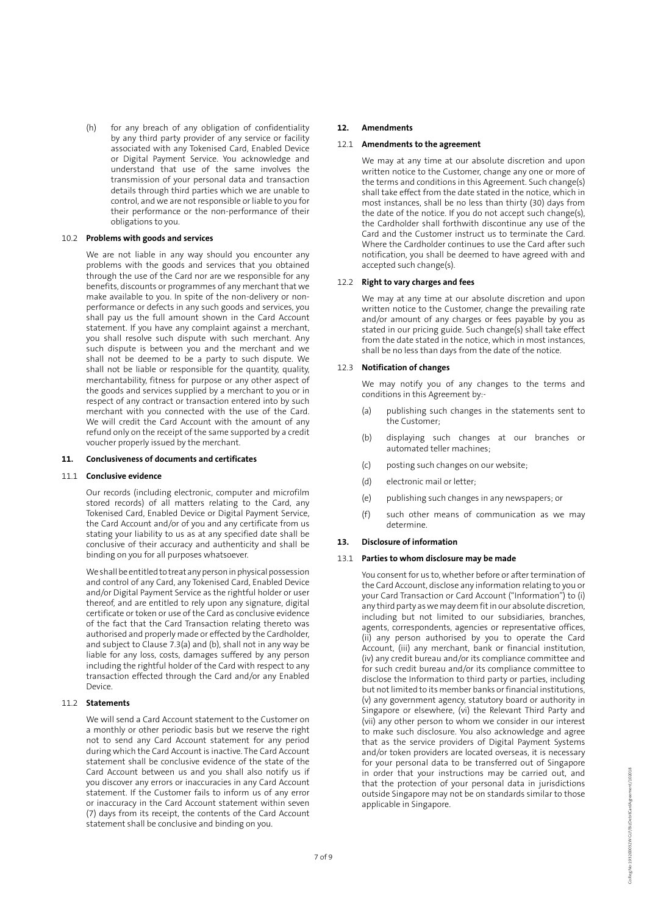(h) for any breach of any obligation of confidentiality by any third party provider of any service or facility associated with any Tokenised Card, Enabled Device or Digital Payment Service. You acknowledge and understand that use of the same involves the transmission of your personal data and transaction details through third parties which we are unable to control, and we are not responsible or liable to you for their performance or the non-performance of their obligations to you.

## 10.2 **Problems with goods and services**

We are not liable in any way should you encounter any problems with the goods and services that you obtained through the use of the Card nor are we responsible for any benefits, discounts or programmes of any merchant that we make available to you. In spite of the non-delivery or nonperformance or defects in any such goods and services, you shall pay us the full amount shown in the Card Account statement. If you have any complaint against a merchant, you shall resolve such dispute with such merchant. Any such dispute is between you and the merchant and we shall not be deemed to be a party to such dispute. We shall not be liable or responsible for the quantity, quality, merchantability, fitness for purpose or any other aspect of the goods and services supplied by a merchant to you or in respect of any contract or transaction entered into by such merchant with you connected with the use of the Card. We will credit the Card Account with the amount of any refund only on the receipt of the same supported by a credit voucher properly issued by the merchant.

# **11. Conclusiveness of documents and certificates**

## 11.1 **Conclusive evidence**

Our records (including electronic, computer and microfilm stored records) of all matters relating to the Card, any Tokenised Card, Enabled Device or Digital Payment Service, the Card Account and/or of you and any certificate from us stating your liability to us as at any specified date shall be conclusive of their accuracy and authenticity and shall be binding on you for all purposes whatsoever.

We shall be entitled to treat any person in physical possession and control of any Card, any Tokenised Card, Enabled Device and/or Digital Payment Service as the rightful holder or user thereof, and are entitled to rely upon any signature, digital certificate or token or use of the Card as conclusive evidence of the fact that the Card Transaction relating thereto was authorised and properly made or effected by the Cardholder, and subject to Clause 7.3(a) and (b), shall not in any way be liable for any loss, costs, damages suffered by any person including the rightful holder of the Card with respect to any transaction effected through the Card and/or any Enabled Device.

#### 11.2 **Statements**

We will send a Card Account statement to the Customer on a monthly or other periodic basis but we reserve the right not to send any Card Account statement for any period during which the Card Account is inactive. The Card Account statement shall be conclusive evidence of the state of the Card Account between us and you shall also notify us if you discover any errors or inaccuracies in any Card Account statement. If the Customer fails to inform us of any error or inaccuracy in the Card Account statement within seven (7) days from its receipt, the contents of the Card Account statement shall be conclusive and binding on you.

#### **12. Amendments**

## 12.1 **Amendments to the agreement**

We may at any time at our absolute discretion and upon written notice to the Customer, change any one or more of the terms and conditions in this Agreement. Such change(s) shall take effect from the date stated in the notice, which in most instances, shall be no less than thirty (30) days from the date of the notice. If you do not accept such change(s), the Cardholder shall forthwith discontinue any use of the Card and the Customer instruct us to terminate the Card. Where the Cardholder continues to use the Card after such notification, you shall be deemed to have agreed with and accepted such change(s).

# 12.2 **Right to vary charges and fees**

We may at any time at our absolute discretion and upon written notice to the Customer, change the prevailing rate and/or amount of any charges or fees payable by you as stated in our pricing guide. Such change(s) shall take effect from the date stated in the notice, which in most instances, shall be no less than days from the date of the notice.

## 12.3 **Notification of changes**

We may notify you of any changes to the terms and conditions in this Agreement by:-

- (a) publishing such changes in the statements sent to the Customer;
- (b) displaying such changes at our branches or automated teller machines;
- (c) posting such changes on our website;
- (d) electronic mail or letter;
- (e) publishing such changes in any newspapers; or
- (f) such other means of communication as we may determine.

#### **13. Disclosure of information**

#### 13.1 **Parties to whom disclosure may be made**

You consent for us to, whether before or after termination of the Card Account, disclose any information relating to you or your Card Transaction or Card Account ("Information") to (i) any third party as we may deem fit in our absolute discretion, including but not limited to our subsidiaries, branches, agents, correspondents, agencies or representative offices, (ii) any person authorised by you to operate the Card Account, (iii) any merchant, bank or financial institution, (iv) any credit bureau and/or its compliance committee and for such credit bureau and/or its compliance committee to disclose the Information to third party or parties, including but not limited to its member banks or financial institutions, (v) any government agency, statutory board or authority in Singapore or elsewhere, (vi) the Relevant Third Party and (vii) any other person to whom we consider in our interest to make such disclosure. You also acknowledge and agree that as the service providers of Digital Payment Systems and/or token providers are located overseas, it is necessary for your personal data to be transferred out of Singapore in order that your instructions may be carried out, and that the protection of your personal data in jurisdictions outside Singapore may not be on standards similar to those applicable in Singapore.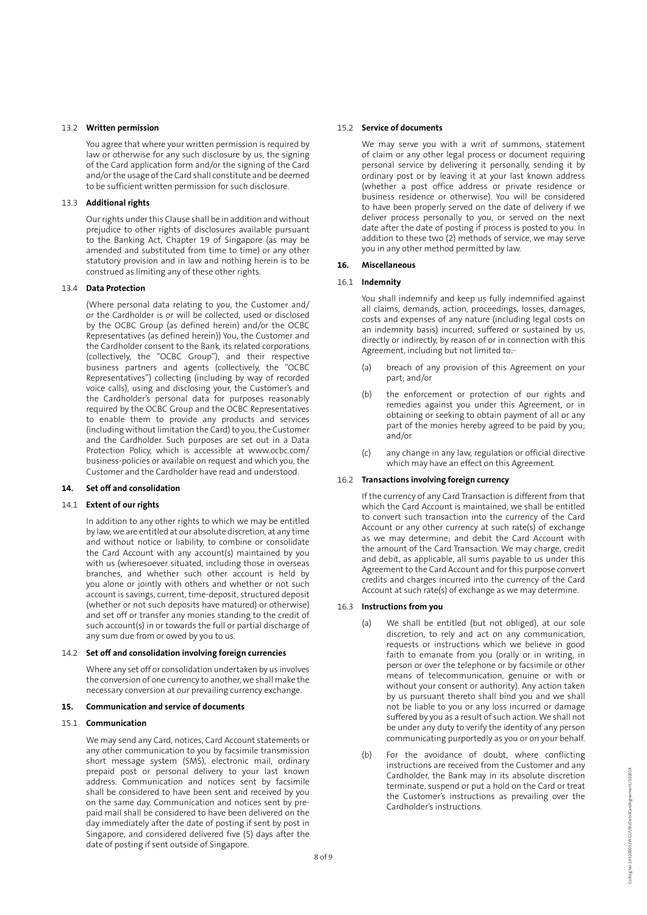## 13.2 **Written permission**

You agree that where your written permission is required by law or otherwise for any such disclosure by us, the signing of the Card application form and/or the signing of the Card and/or the usage of the Card shall constitute and be deemed to be sufficient written permission for such disclosure.

## 13.3 **Additional rights**

Our rights under this Clause shall be in addition and without prejudice to other rights of disclosures available pursuant to the Banking Act, Chapter 19 of Singapore (as may be amended and substituted from time to time) or any other statutory provision and in law and nothing herein is to be construed as limiting any of these other rights.

#### 13.4 **Data Protection**

(Where personal data relating to you, the Customer and/ or the Cardholder is or will be collected, used or disclosed by the OCBC Group (as defined herein) and/or the OCBC Representatives (as defined herein)) You, the Customer and the Cardholder consent to the Bank, its related corporations (collectively, the "OCBC Group"), and their respective business partners and agents (collectively, the "OCBC Representatives") collecting (including by way of recorded voice calls), using and disclosing your, the Customer's and the Cardholder's personal data for purposes reasonably required by the OCBC Group and the OCBC Representatives to enable them to provide any products and services (including without limitation the Card) to you, the Customer and the Cardholder. Such purposes are set out in a Data Protection Policy, which is accessible at www.ocbc.com/ business-policies or available on request and which you, the Customer and the Cardholder have read and understood.

# **14. Set off and consolidation**

# 14.1 **Extent of our rights**

In addition to any other rights to which we may be entitled by law, we are entitled at our absolute discretion, at any time and without notice or liability, to combine or consolidate the Card Account with any account(s) maintained by you with us (wheresoever situated, including those in overseas branches, and whether such other account is held by you alone or jointly with others and whether or not such account is savings, current, time-deposit, structured deposit (whether or not such deposits have matured) or otherwise) and set off or transfer any monies standing to the credit of such account(s) in or towards the full or partial discharge of any sum due from or owed by you to us.

#### 14.2 **Set off and consolidation involving foreign currencies**

Where any set off or consolidation undertaken by us involves the conversion of one currency to another, we shall make the necessary conversion at our prevailing currency exchange.

#### **15. Communication and service of documents**

#### 15.1 **Communication**

We may send any Card, notices, Card Account statements or any other communication to you by facsimile transmission short message system (SMS), electronic mail, ordinary prepaid post or personal delivery to your last known address. Communication and notices sent by facsimile shall be considered to have been sent and received by you on the same day. Communication and notices sent by prepaid mail shall be considered to have been delivered on the day immediately after the date of posting if sent by post in Singapore, and considered delivered five (5) days after the date of posting if sent outside of Singapore.

## 15.2 **Service of documents**

We may serve you with a writ of summons, statement of claim or any other legal process or document requiring personal service by delivering it personally, sending it by ordinary post or by leaving it at your last known address (whether a post office address or private residence or business residence or otherwise). You will be considered to have been properly served on the date of delivery if we deliver process personally to you, or served on the next date after the date of posting if process is posted to you. In addition to these two (2) methods of service, we may serve you in any other method permitted by law.

## **16. Miscellaneous**

# 16.1 **Indemnity**

You shall indemnify and keep us fully indemnified against all claims, demands, action, proceedings, losses, damages, costs and expenses of any nature (including legal costs on an indemnity basis) incurred, suffered or sustained by us, directly or indirectly, by reason of or in connection with this Agreement, including but not limited to:-

- (a) breach of any provision of this Agreement on your part; and/or
- (b) the enforcement or protection of our rights and remedies against you under this Agreement, or in obtaining or seeking to obtain payment of all or any part of the monies hereby agreed to be paid by you; and/or
- (c) any change in any law, regulation or official directive which may have an effect on this Agreement.

#### 16.2 **Transactions involving foreign currency**

If the currency of any Card Transaction is different from that which the Card Account is maintained, we shall be entitled to convert such transaction into the currency of the Card Account or any other currency at such rate(s) of exchange as we may determine; and debit the Card Account with the amount of the Card Transaction. We may charge, credit and debit, as applicable, all sums payable to us under this Agreement to the Card Account and for this purpose convert credits and charges incurred into the currency of the Card Account at such rate(s) of exchange as we may determine.

# 16.3 **Instructions from you**

- (a) We shall be entitled (but not obliged), at our sole discretion, to rely and act on any communication, requests or instructions which we believe in good faith to emanate from you (orally or in writing, in person or over the telephone or by facsimile or other means of telecommunication, genuine or with or without your consent or authority). Any action taken by us pursuant thereto shall bind you and we shall not be liable to you or any loss incurred or damage suffered by you as a result of such action. We shall not be under any duty to verify the identity of any person communicating purportedly as you or on your behalf.
- (b) For the avoidance of doubt, where conflicting instructions are received from the Customer and any Cardholder, the Bank may in its absolute discretion terminate, suspend or put a hold on the Card or treat the Customer's instructions as prevailing over the Cardholder's instructions.